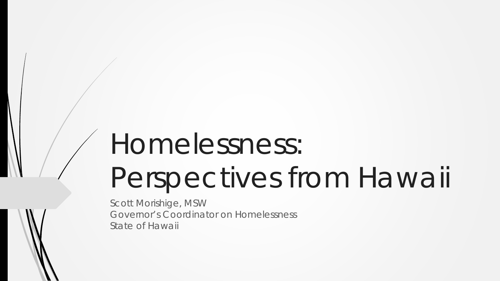# Homelessness:

# Perspectives from Hawaii

Scott Morishige, MSW Governor's Coordinator on Homelessness State of Hawaii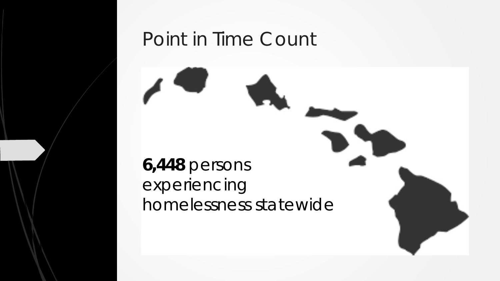## Point in Time Count

#### **6,448** persons experiencing homelessness statewide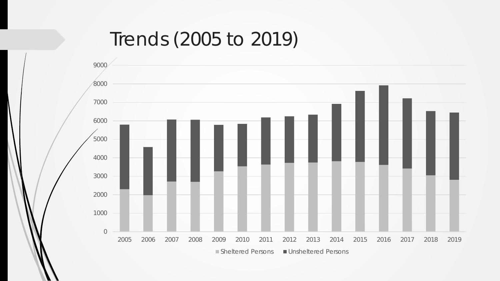### Trends (2005 to 2019)

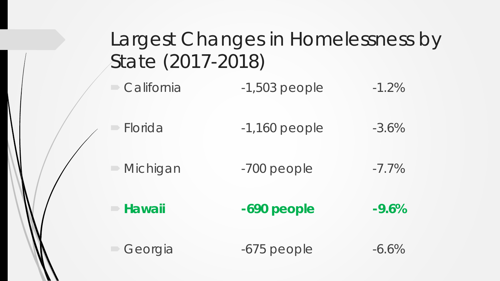| Largest Changes in Homelessness by<br>State (2017-2018) |                 |          |  |
|---------------------------------------------------------|-----------------|----------|--|
| $\Box$ California                                       | $-1,503$ people | $-1.2%$  |  |
| Florida                                                 | $-1,160$ people | $-3.6%$  |  |
| $\triangleright$ Michigan                               | -700 people     | $-7.7\%$ |  |
| - Hawaii                                                | -690 people     | $-9.6%$  |  |
| Georgia                                                 | $-675$ people   | $-6.6%$  |  |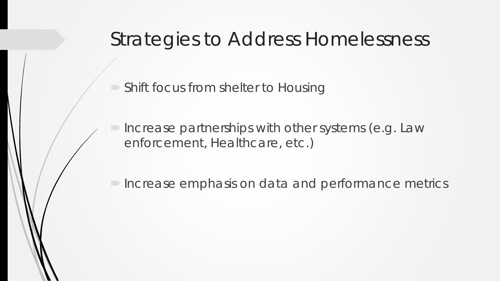#### Strategies to Address Homelessness

Shift focus from shelter to Housing

 Increase partnerships with other systems (e.g. Law enforcement, Healthcare, etc.)

Increase emphasis on data and performance metrics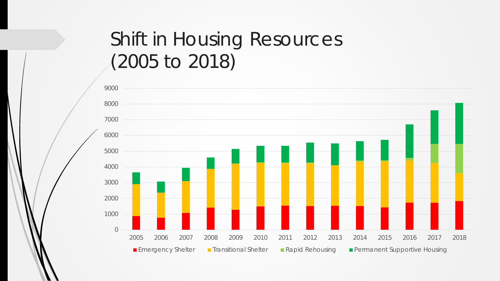# Shift in Housing Resources (2005 to 2018)

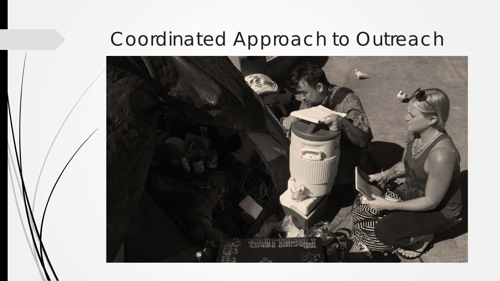## Coordinated Approach to Outreach

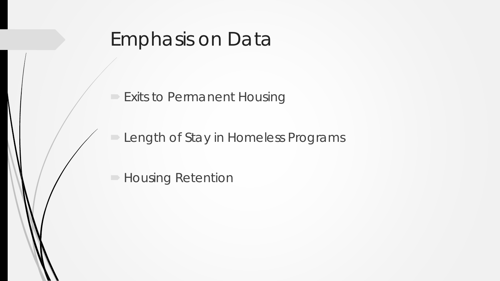### Emphasis on Data

**Exits to Permanent Housing** 

**Length of Stay in Homeless Programs** 

**Housing Retention**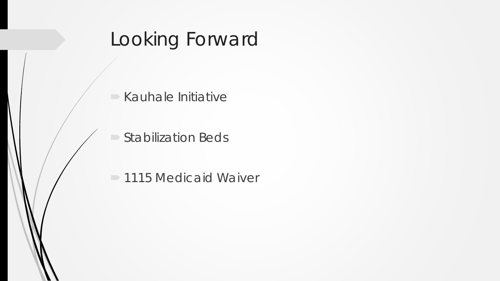# Looking Forward

 $\blacktriangleright$  Kauhale Initiative

Stabilization Beds

1115 Medicaid Waiver